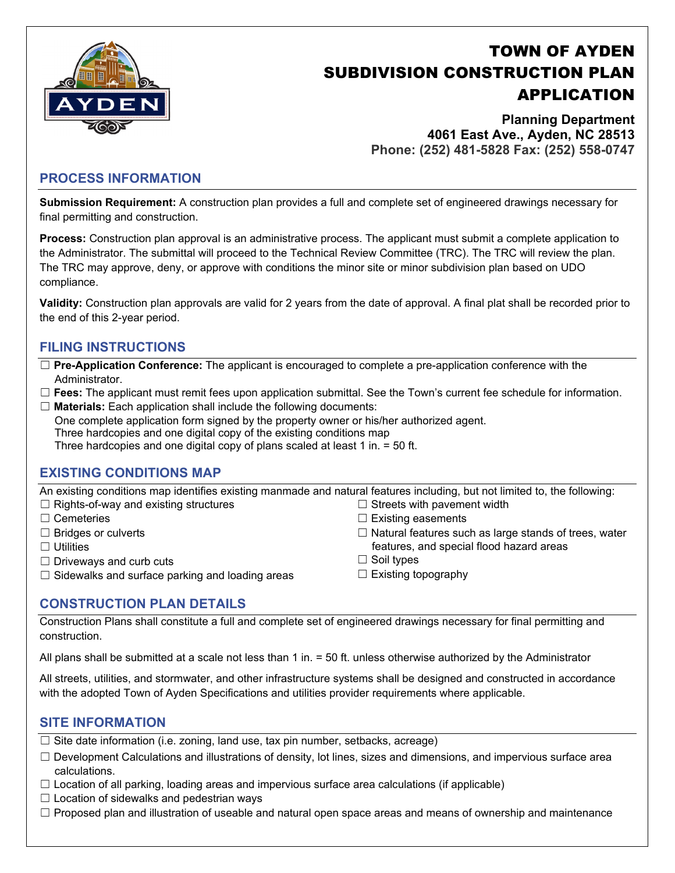

# TOWN OF AYDEN SUBDIVISION CONSTRUCTION PLAN APPLICATION

**Planning Department 4061 East Ave., Ayden, NC 28513 Phone: (252) 481-5828 Fax: (252) 558-0747** 

## **PROCESS INFORMATION**

**Submission Requirement:** A construction plan provides a full and complete set of engineered drawings necessary for final permitting and construction.

**Process:** Construction plan approval is an administrative process. The applicant must submit a complete application to the Administrator. The submittal will proceed to the Technical Review Committee (TRC). The TRC will review the plan. The TRC may approve, deny, or approve with conditions the minor site or minor subdivision plan based on UDO compliance.

**Validity:** Construction plan approvals are valid for 2 years from the date of approval. A final plat shall be recorded prior to the end of this 2-year period.

## **FILING INSTRUCTIONS**

- ☐ **Pre-Application Conference:** The applicant is encouraged to complete a pre-application conference with the Administrator.
- ☐ **Fees:** The applicant must remit fees upon application submittal. See the Town's current fee schedule for information.
- ☐ **Materials:** Each application shall include the following documents:

One complete application form signed by the property owner or his/her authorized agent. Three hardcopies and one digital copy of the existing conditions map Three hardcopies and one digital copy of plans scaled at least 1 in. = 50 ft.

## **EXISTING CONDITIONS MAP**

An existing conditions map identifies existing manmade and natural features including, but not limited to, the following:

- $\Box$  Rights-of-way and existing structures  $\Box$  Streets with pavement width
- ☐ Cemeteries
- ☐ Bridges or culverts
- □ Utilities
- $\Box$  Driveways and curb cuts
- $\Box$  Sidewalks and surface parking and loading areas
- □ Existing easements
- $\Box$  Natural features such as large stands of trees, water features, and special flood hazard areas
- ☐ Soil types
- □ Existing topography

## **CONSTRUCTION PLAN DETAILS**

Construction Plans shall constitute a full and complete set of engineered drawings necessary for final permitting and construction.

All plans shall be submitted at a scale not less than 1 in. = 50 ft. unless otherwise authorized by the Administrator

All streets, utilities, and stormwater, and other infrastructure systems shall be designed and constructed in accordance with the adopted Town of Ayden Specifications and utilities provider requirements where applicable.

## **SITE INFORMATION**

 $\Box$  Site date information (i.e. zoning, land use, tax pin number, setbacks, acreage)

- ☐ Development Calculations and illustrations of density, lot lines, sizes and dimensions, and impervious surface area calculations.
- $\Box$  Location of all parking, loading areas and impervious surface area calculations (if applicable)
- $\Box$  Location of sidewalks and pedestrian ways
- □ Proposed plan and illustration of useable and natural open space areas and means of ownership and maintenance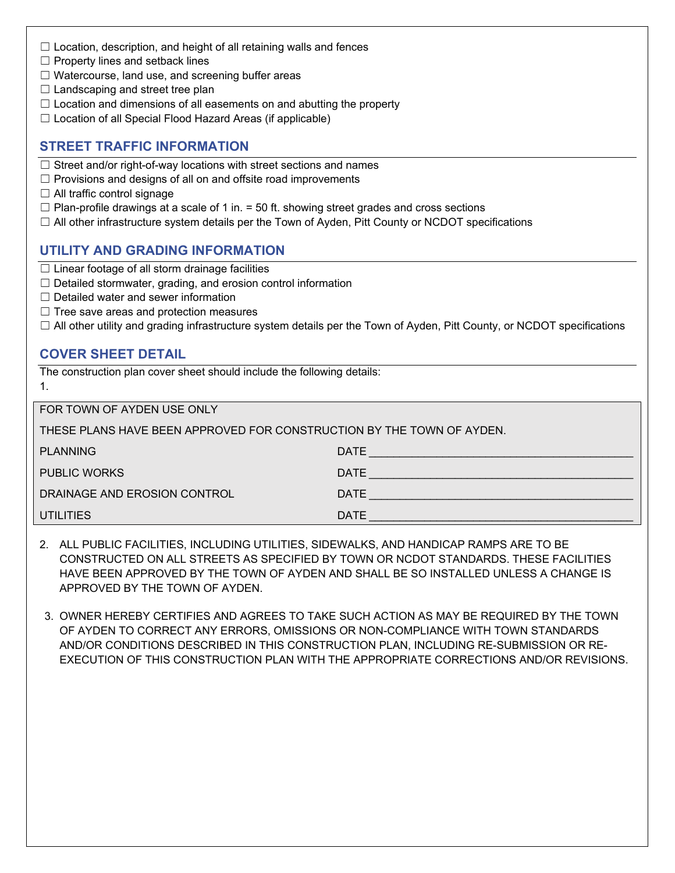- $\Box$  Location, description, and height of all retaining walls and fences
- $\Box$  Property lines and setback lines
- $\Box$  Watercourse, land use, and screening buffer areas
- $\Box$  Landscaping and street tree plan
- $\Box$  Location and dimensions of all easements on and abutting the property
- $\Box$  Location of all Special Flood Hazard Areas (if applicable)

#### **STREET TRAFFIC INFORMATION**

- $\Box$  Street and/or right-of-way locations with street sections and names
- $\Box$  Provisions and designs of all on and offsite road improvements
- $\Box$  All traffic control signage
- $\Box$  Plan-profile drawings at a scale of 1 in. = 50 ft. showing street grades and cross sections
- $\Box$  All other infrastructure system details per the Town of Ayden, Pitt County or NCDOT specifications

## **UTILITY AND GRADING INFORMATION**

- $\Box$  Linear footage of all storm drainage facilities
- □ Detailed stormwater, grading, and erosion control information
- ☐ Detailed water and sewer information
- $\Box$  Tree save areas and protection measures
- $\Box$  All other utility and grading infrastructure system details per the Town of Ayden, Pitt County, or NCDOT specifications

#### **COVER SHEET DETAIL**

1.

The construction plan cover sheet should include the following details:

FOR TOWN OF AYDEN USE ONLY

| <b>PLANNING</b>              | <b>DATE</b> |
|------------------------------|-------------|
| <b>PUBLIC WORKS</b>          | <b>DATE</b> |
| DRAINAGE AND EROSION CONTROL | <b>DATE</b> |
| <b>UTILITIES</b>             | <b>DATE</b> |

- 2. ALL PUBLIC FACILITIES, INCLUDING UTILITIES, SIDEWALKS, AND HANDICAP RAMPS ARE TO BE CONSTRUCTED ON ALL STREETS AS SPECIFIED BY TOWN OR NCDOT STANDARDS. THESE FACILITIES HAVE BEEN APPROVED BY THE TOWN OF AYDEN AND SHALL BE SO INSTALLED UNLESS A CHANGE IS APPROVED BY THE TOWN OF AYDEN.
- 3. OWNER HEREBY CERTIFIES AND AGREES TO TAKE SUCH ACTION AS MAY BE REQUIRED BY THE TOWN OF AYDEN TO CORRECT ANY ERRORS, OMISSIONS OR NON-COMPLIANCE WITH TOWN STANDARDS AND/OR CONDITIONS DESCRIBED IN THIS CONSTRUCTION PLAN, INCLUDING RE-SUBMISSION OR RE-EXECUTION OF THIS CONSTRUCTION PLAN WITH THE APPROPRIATE CORRECTIONS AND/OR REVISIONS.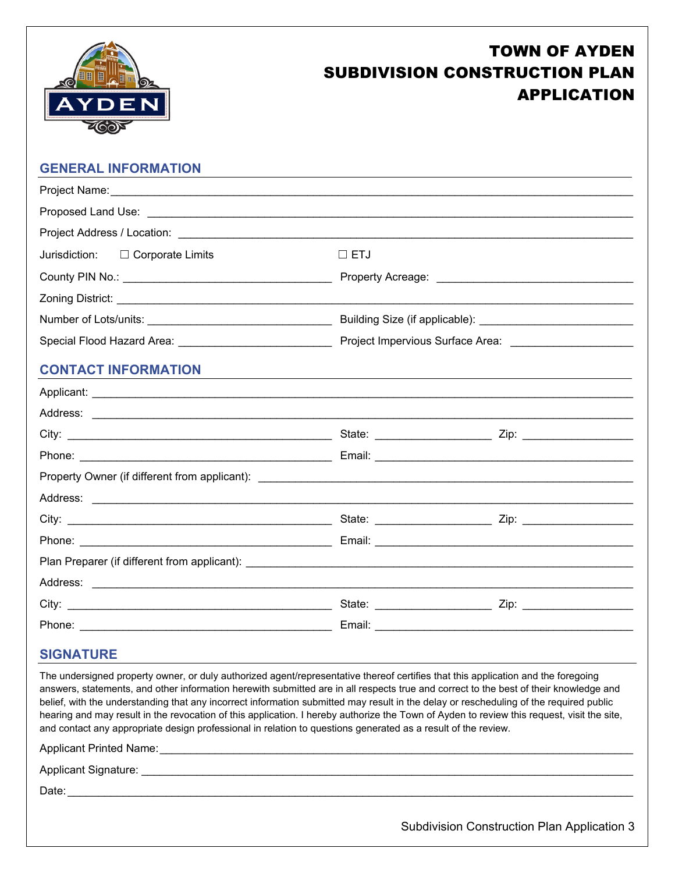

# TOWN OF AYDEN SUBDIVISION CONSTRUCTION PLAN APPLICATION

## **GENERAL INFORMATION**

| Jurisdiction: $\Box$ Corporate Limits | $\Box$ ETJ |  |
|---------------------------------------|------------|--|
|                                       |            |  |
|                                       |            |  |
|                                       |            |  |
|                                       |            |  |
| <b>CONTACT INFORMATION</b>            |            |  |
|                                       |            |  |
|                                       |            |  |
|                                       |            |  |
|                                       |            |  |
|                                       |            |  |
|                                       |            |  |
|                                       |            |  |
|                                       |            |  |
|                                       |            |  |
|                                       |            |  |
|                                       |            |  |
|                                       |            |  |

#### **SIGNATURE**

The undersigned property owner, or duly authorized agent/representative thereof certifies that this application and the foregoing answers, statements, and other information herewith submitted are in all respects true and correct to the best of their knowledge and belief, with the understanding that any incorrect information submitted may result in the delay or rescheduling of the required public hearing and may result in the revocation of this application. I hereby authorize the Town of Ayden to review this request, visit the site, and contact any appropriate design professional in relation to questions generated as a result of the review.

Applicant Printed Name: \_\_\_\_\_\_\_\_\_\_\_\_\_\_\_\_\_\_\_\_\_\_\_\_\_\_\_\_\_\_\_\_\_\_\_\_\_\_\_\_\_\_\_\_\_\_\_\_\_\_\_\_\_\_\_\_\_\_\_\_\_\_\_\_\_\_\_\_\_\_\_\_\_\_\_\_\_

Applicant Signature: \_\_\_\_\_\_\_\_\_\_\_\_\_\_\_\_\_\_\_\_\_\_\_\_\_\_\_\_\_\_\_\_\_\_\_\_\_\_\_\_\_\_\_\_\_\_\_\_\_\_\_\_\_\_\_\_\_\_\_\_\_\_\_\_\_\_\_\_\_\_\_\_\_\_\_\_\_\_\_\_

Date: \_\_\_\_\_\_\_\_\_\_\_\_\_\_\_\_\_\_\_\_\_\_\_\_\_\_\_\_\_\_\_\_\_\_\_\_\_\_\_\_\_\_\_\_\_\_\_\_\_\_\_\_\_\_\_\_\_\_\_\_\_\_\_\_\_\_\_\_\_\_\_\_\_\_\_\_\_\_\_\_\_\_\_\_\_\_\_\_\_\_\_\_